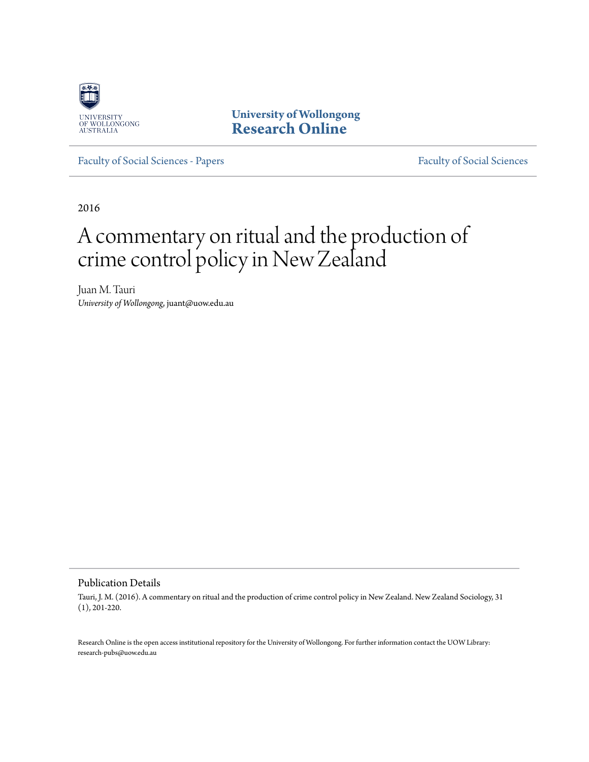

**University of Wollongong [Research Online](http://ro.uow.edu.au)**

[Faculty of Social Sciences - Papers](http://ro.uow.edu.au/sspapers) [Faculty of Social Sciences](http://ro.uow.edu.au/ss)

2016

# A commentary on ritual and the production of crime control policy in New Zealand

Juan M. Tauri *University of Wollongong*, juant@uow.edu.au

#### Publication Details

Tauri, J. M. (2016). A commentary on ritual and the production of crime control policy in New Zealand. New Zealand Sociology, 31 (1), 201-220.

Research Online is the open access institutional repository for the University of Wollongong. For further information contact the UOW Library: research-pubs@uow.edu.au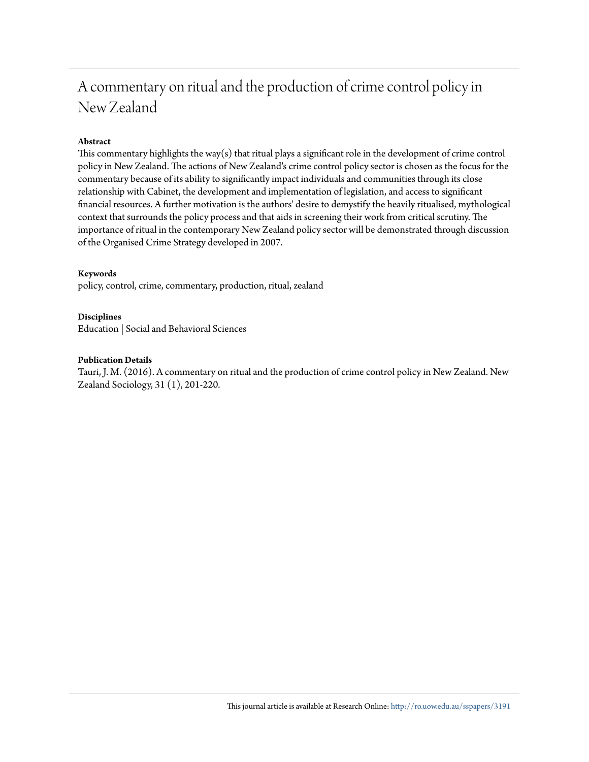# A commentary on ritual and the production of crime control policy in New Zealand

#### **Abstract**

This commentary highlights the way(s) that ritual plays a significant role in the development of crime control policy in New Zealand. The actions of New Zealand's crime control policy sector is chosen as the focus for the commentary because of its ability to significantly impact individuals and communities through its close relationship with Cabinet, the development and implementation of legislation, and access to significant financial resources. A further motivation is the authors' desire to demystify the heavily ritualised, mythological context that surrounds the policy process and that aids in screening their work from critical scrutiny. The importance of ritual in the contemporary New Zealand policy sector will be demonstrated through discussion of the Organised Crime Strategy developed in 2007.

#### **Keywords**

policy, control, crime, commentary, production, ritual, zealand

#### **Disciplines**

Education | Social and Behavioral Sciences

#### **Publication Details**

Tauri, J. M. (2016). A commentary on ritual and the production of crime control policy in New Zealand. New Zealand Sociology, 31 (1), 201-220.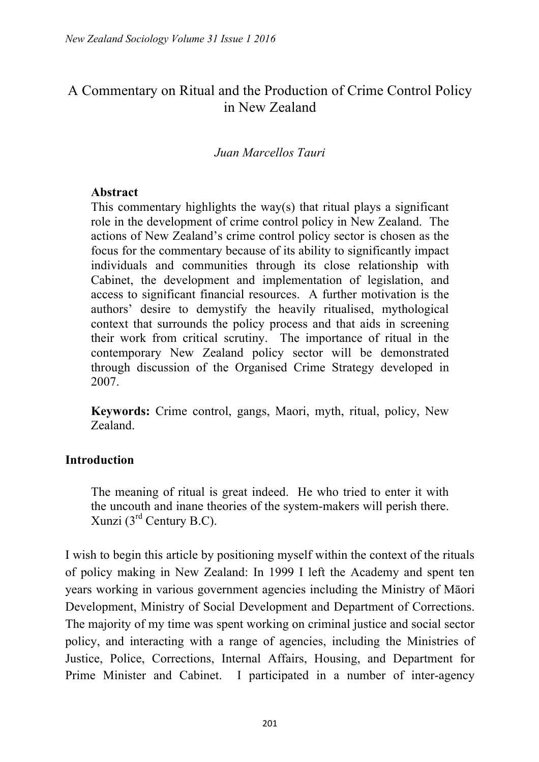# A Commentary on Ritual and the Production of Crime Control Policy in New Zealand

#### *Juan Marcellos Tauri*

#### **Abstract**

This commentary highlights the way(s) that ritual plays a significant role in the development of crime control policy in New Zealand. The actions of New Zealand's crime control policy sector is chosen as the focus for the commentary because of its ability to significantly impact individuals and communities through its close relationship with Cabinet, the development and implementation of legislation, and access to significant financial resources. A further motivation is the authors' desire to demystify the heavily ritualised, mythological context that surrounds the policy process and that aids in screening their work from critical scrutiny. The importance of ritual in the contemporary New Zealand policy sector will be demonstrated through discussion of the Organised Crime Strategy developed in 2007.

**Keywords:** Crime control, gangs, Maori, myth, ritual, policy, New Zealand.

#### **Introduction**

The meaning of ritual is great indeed. He who tried to enter it with the uncouth and inane theories of the system-makers will perish there. Xunzi  $(3<sup>rd</sup>$  Century B.C).

I wish to begin this article by positioning myself within the context of the rituals of policy making in New Zealand: In 1999 I left the Academy and spent ten years working in various government agencies including the Ministry of Māori Development, Ministry of Social Development and Department of Corrections. The majority of my time was spent working on criminal justice and social sector policy, and interacting with a range of agencies, including the Ministries of Justice, Police, Corrections, Internal Affairs, Housing, and Department for Prime Minister and Cabinet. I participated in a number of inter-agency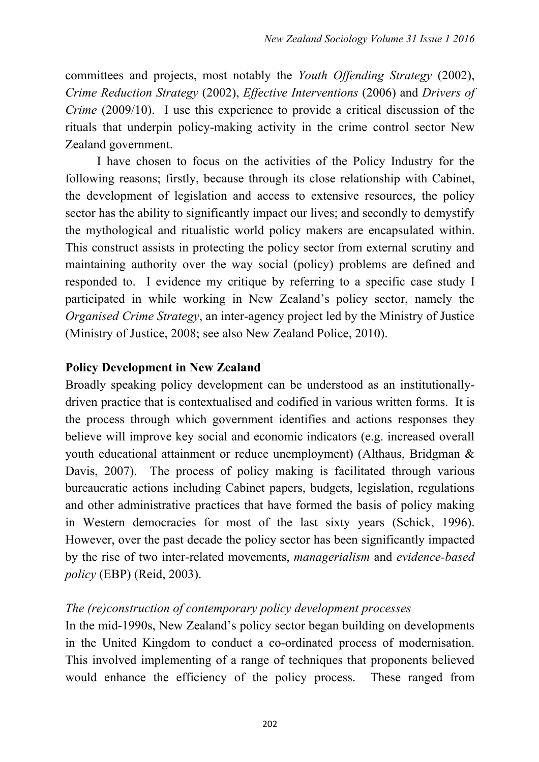committees and projects, most notably the *Youth Offending Strategy* (2002), *Crime Reduction Strategy* (2002), *Effective Interventions* (2006) and *Drivers of Crime* (2009/10). I use this experience to provide a critical discussion of the rituals that underpin policy-making activity in the crime control sector New Zealand government.

 I have chosen to focus on the activities of the Policy Industry for the following reasons; firstly, because through its close relationship with Cabinet, the development of legislation and access to extensive resources, the policy sector has the ability to significantly impact our lives; and secondly to demystify the mythological and ritualistic world policy makers are encapsulated within. This construct assists in protecting the policy sector from external scrutiny and maintaining authority over the way social (policy) problems are defined and responded to. I evidence my critique by referring to a specific case study I participated in while working in New Zealand's policy sector, namely the *Organised Crime Strategy*, an inter-agency project led by the Ministry of Justice (Ministry of Justice, 2008; see also New Zealand Police, 2010).

### **Policy Development in New Zealand**

Broadly speaking policy development can be understood as an institutionallydriven practice that is contextualised and codified in various written forms. It is the process through which government identifies and actions responses they believe will improve key social and economic indicators (e.g. increased overall youth educational attainment or reduce unemployment) (Althaus, Bridgman & Davis, 2007). The process of policy making is facilitated through various bureaucratic actions including Cabinet papers, budgets, legislation, regulations and other administrative practices that have formed the basis of policy making in Western democracies for most of the last sixty years (Schick, 1996). However, over the past decade the policy sector has been significantly impacted by the rise of two inter-related movements, *managerialism* and *evidence-based policy* (EBP) (Reid, 2003).

### *The (re)construction of contemporary policy development processes*

In the mid-1990s, New Zealand's policy sector began building on developments in the United Kingdom to conduct a co-ordinated process of modernisation. This involved implementing of a range of techniques that proponents believed would enhance the efficiency of the policy process. These ranged from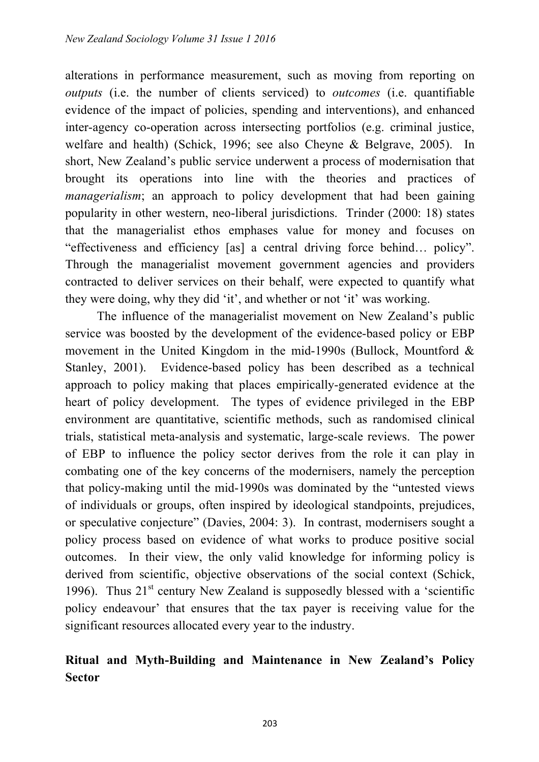alterations in performance measurement, such as moving from reporting on *outputs* (i.e. the number of clients serviced) to *outcomes* (i.e. quantifiable evidence of the impact of policies, spending and interventions), and enhanced inter-agency co-operation across intersecting portfolios (e.g. criminal justice, welfare and health) (Schick, 1996; see also Cheyne & Belgrave, 2005). In short, New Zealand's public service underwent a process of modernisation that brought its operations into line with the theories and practices of *managerialism*; an approach to policy development that had been gaining popularity in other western, neo-liberal jurisdictions. Trinder (2000: 18) states that the managerialist ethos emphases value for money and focuses on "effectiveness and efficiency [as] a central driving force behind… policy". Through the managerialist movement government agencies and providers contracted to deliver services on their behalf, were expected to quantify what they were doing, why they did 'it', and whether or not 'it' was working.

 The influence of the managerialist movement on New Zealand's public service was boosted by the development of the evidence-based policy or EBP movement in the United Kingdom in the mid-1990s (Bullock, Mountford & Stanley, 2001). Evidence-based policy has been described as a technical approach to policy making that places empirically-generated evidence at the heart of policy development. The types of evidence privileged in the EBP environment are quantitative, scientific methods, such as randomised clinical trials, statistical meta-analysis and systematic, large-scale reviews. The power of EBP to influence the policy sector derives from the role it can play in combating one of the key concerns of the modernisers, namely the perception that policy-making until the mid-1990s was dominated by the "untested views of individuals or groups, often inspired by ideological standpoints, prejudices, or speculative conjecture" (Davies, 2004: 3). In contrast, modernisers sought a policy process based on evidence of what works to produce positive social outcomes. In their view, the only valid knowledge for informing policy is derived from scientific, objective observations of the social context (Schick, 1996). Thus  $21<sup>st</sup>$  century New Zealand is supposedly blessed with a 'scientific policy endeavour' that ensures that the tax payer is receiving value for the significant resources allocated every year to the industry.

# **Ritual and Myth-Building and Maintenance in New Zealand's Policy Sector**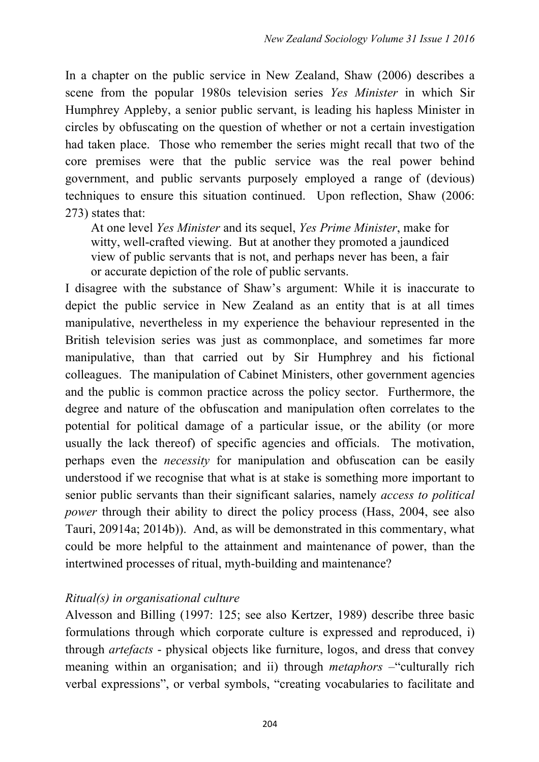In a chapter on the public service in New Zealand, Shaw (2006) describes a scene from the popular 1980s television series *Yes Minister* in which Sir Humphrey Appleby, a senior public servant, is leading his hapless Minister in circles by obfuscating on the question of whether or not a certain investigation had taken place. Those who remember the series might recall that two of the core premises were that the public service was the real power behind government, and public servants purposely employed a range of (devious) techniques to ensure this situation continued. Upon reflection, Shaw (2006: 273) states that:

At one level *Yes Minister* and its sequel, *Yes Prime Minister*, make for witty, well-crafted viewing. But at another they promoted a jaundiced view of public servants that is not, and perhaps never has been, a fair or accurate depiction of the role of public servants.

I disagree with the substance of Shaw's argument: While it is inaccurate to depict the public service in New Zealand as an entity that is at all times manipulative, nevertheless in my experience the behaviour represented in the British television series was just as commonplace, and sometimes far more manipulative, than that carried out by Sir Humphrey and his fictional colleagues. The manipulation of Cabinet Ministers, other government agencies and the public is common practice across the policy sector. Furthermore, the degree and nature of the obfuscation and manipulation often correlates to the potential for political damage of a particular issue, or the ability (or more usually the lack thereof) of specific agencies and officials. The motivation, perhaps even the *necessity* for manipulation and obfuscation can be easily understood if we recognise that what is at stake is something more important to senior public servants than their significant salaries, namely *access to political power* through their ability to direct the policy process (Hass, 2004, see also Tauri, 20914a; 2014b)). And, as will be demonstrated in this commentary, what could be more helpful to the attainment and maintenance of power, than the intertwined processes of ritual, myth-building and maintenance?

### *Ritual(s) in organisational culture*

Alvesson and Billing (1997: 125; see also Kertzer, 1989) describe three basic formulations through which corporate culture is expressed and reproduced, i) through *artefacts* - physical objects like furniture, logos, and dress that convey meaning within an organisation; and ii) through *metaphors* – "culturally rich" verbal expressions", or verbal symbols, "creating vocabularies to facilitate and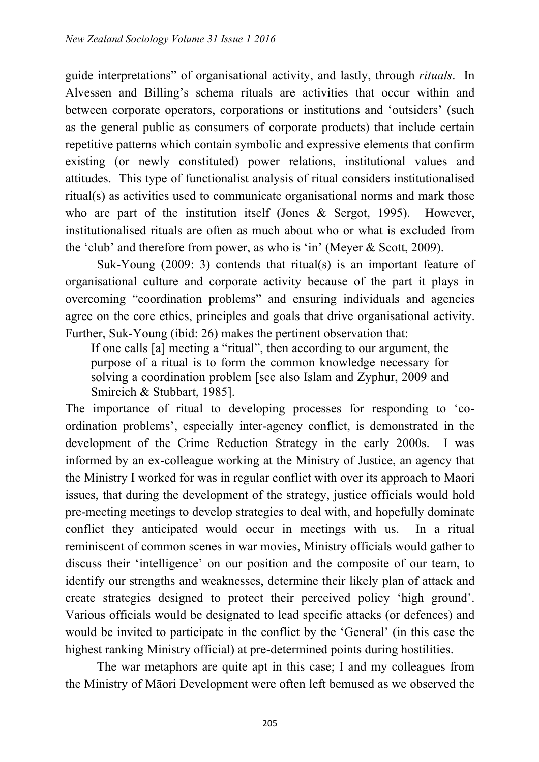guide interpretations" of organisational activity, and lastly, through *rituals*. In Alvessen and Billing's schema rituals are activities that occur within and between corporate operators, corporations or institutions and 'outsiders' (such as the general public as consumers of corporate products) that include certain repetitive patterns which contain symbolic and expressive elements that confirm existing (or newly constituted) power relations, institutional values and attitudes. This type of functionalist analysis of ritual considers institutionalised ritual(s) as activities used to communicate organisational norms and mark those who are part of the institution itself (Jones & Sergot, 1995). However, institutionalised rituals are often as much about who or what is excluded from the 'club' and therefore from power, as who is 'in' (Meyer & Scott, 2009).

 Suk-Young (2009: 3) contends that ritual(s) is an important feature of organisational culture and corporate activity because of the part it plays in overcoming "coordination problems" and ensuring individuals and agencies agree on the core ethics, principles and goals that drive organisational activity. Further, Suk-Young (ibid: 26) makes the pertinent observation that:

If one calls [a] meeting a "ritual", then according to our argument, the purpose of a ritual is to form the common knowledge necessary for solving a coordination problem [see also Islam and Zyphur, 2009 and Smircich & Stubbart, 1985].

The importance of ritual to developing processes for responding to 'coordination problems', especially inter-agency conflict, is demonstrated in the development of the Crime Reduction Strategy in the early 2000s. I was informed by an ex-colleague working at the Ministry of Justice, an agency that the Ministry I worked for was in regular conflict with over its approach to Maori issues, that during the development of the strategy, justice officials would hold pre-meeting meetings to develop strategies to deal with, and hopefully dominate conflict they anticipated would occur in meetings with us. In a ritual reminiscent of common scenes in war movies, Ministry officials would gather to discuss their 'intelligence' on our position and the composite of our team, to identify our strengths and weaknesses, determine their likely plan of attack and create strategies designed to protect their perceived policy 'high ground'. Various officials would be designated to lead specific attacks (or defences) and would be invited to participate in the conflict by the 'General' (in this case the highest ranking Ministry official) at pre-determined points during hostilities.

 The war metaphors are quite apt in this case; I and my colleagues from the Ministry of Māori Development were often left bemused as we observed the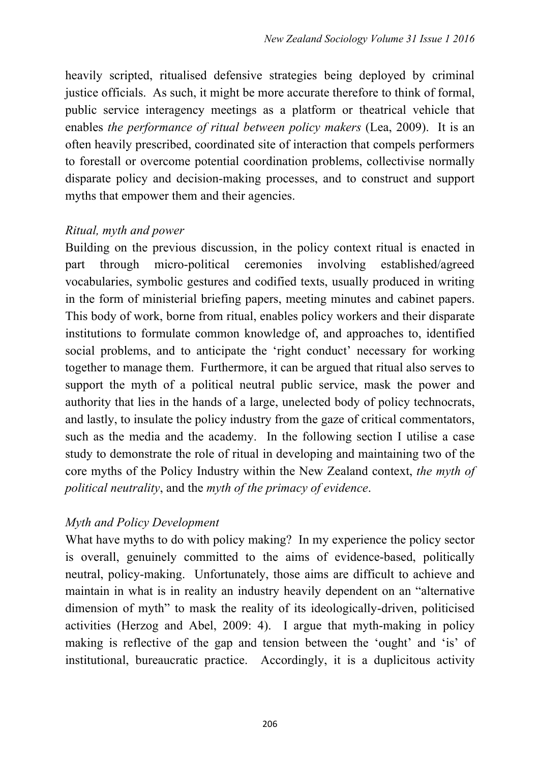heavily scripted, ritualised defensive strategies being deployed by criminal justice officials. As such, it might be more accurate therefore to think of formal, public service interagency meetings as a platform or theatrical vehicle that enables *the performance of ritual between policy makers* (Lea, 2009). It is an often heavily prescribed, coordinated site of interaction that compels performers to forestall or overcome potential coordination problems, collectivise normally disparate policy and decision-making processes, and to construct and support myths that empower them and their agencies.

### *Ritual, myth and power*

Building on the previous discussion, in the policy context ritual is enacted in part through micro-political ceremonies involving established/agreed vocabularies, symbolic gestures and codified texts, usually produced in writing in the form of ministerial briefing papers, meeting minutes and cabinet papers. This body of work, borne from ritual, enables policy workers and their disparate institutions to formulate common knowledge of, and approaches to, identified social problems, and to anticipate the 'right conduct' necessary for working together to manage them. Furthermore, it can be argued that ritual also serves to support the myth of a political neutral public service, mask the power and authority that lies in the hands of a large, unelected body of policy technocrats, and lastly, to insulate the policy industry from the gaze of critical commentators, such as the media and the academy. In the following section I utilise a case study to demonstrate the role of ritual in developing and maintaining two of the core myths of the Policy Industry within the New Zealand context, *the myth of political neutrality*, and the *myth of the primacy of evidence*.

# *Myth and Policy Development*

What have myths to do with policy making? In my experience the policy sector is overall, genuinely committed to the aims of evidence-based, politically neutral, policy-making. Unfortunately, those aims are difficult to achieve and maintain in what is in reality an industry heavily dependent on an "alternative dimension of myth" to mask the reality of its ideologically-driven, politicised activities (Herzog and Abel, 2009: 4). I argue that myth-making in policy making is reflective of the gap and tension between the 'ought' and 'is' of institutional, bureaucratic practice. Accordingly, it is a duplicitous activity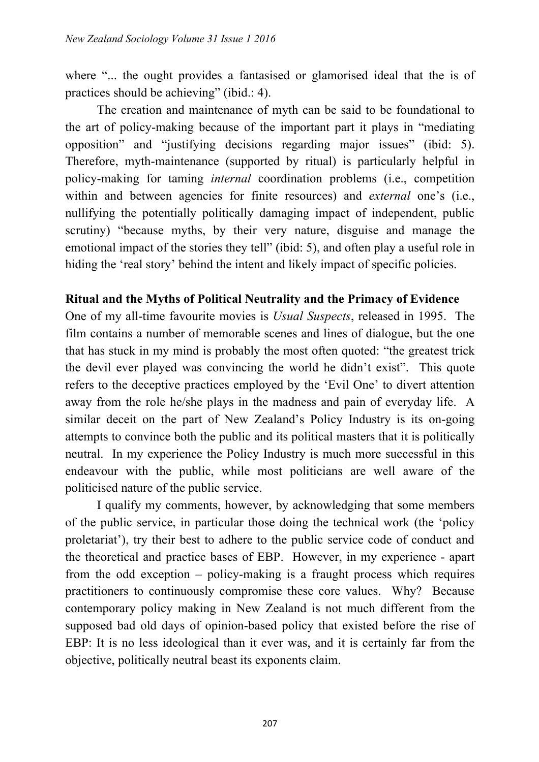where "... the ought provides a fantasised or glamorised ideal that the is of practices should be achieving" (ibid.: 4).

 The creation and maintenance of myth can be said to be foundational to the art of policy-making because of the important part it plays in "mediating opposition" and "justifying decisions regarding major issues" (ibid: 5). Therefore, myth-maintenance (supported by ritual) is particularly helpful in policy-making for taming *internal* coordination problems (i.e., competition within and between agencies for finite resources) and *external* one's (i.e., nullifying the potentially politically damaging impact of independent, public scrutiny) "because myths, by their very nature, disguise and manage the emotional impact of the stories they tell" (ibid: 5), and often play a useful role in hiding the 'real story' behind the intent and likely impact of specific policies.

#### **Ritual and the Myths of Political Neutrality and the Primacy of Evidence**

One of my all-time favourite movies is *Usual Suspects*, released in 1995. The film contains a number of memorable scenes and lines of dialogue, but the one that has stuck in my mind is probably the most often quoted: "the greatest trick the devil ever played was convincing the world he didn't exist". This quote refers to the deceptive practices employed by the 'Evil One' to divert attention away from the role he/she plays in the madness and pain of everyday life. A similar deceit on the part of New Zealand's Policy Industry is its on-going attempts to convince both the public and its political masters that it is politically neutral. In my experience the Policy Industry is much more successful in this endeavour with the public, while most politicians are well aware of the politicised nature of the public service.

 I qualify my comments, however, by acknowledging that some members of the public service, in particular those doing the technical work (the 'policy proletariat'), try their best to adhere to the public service code of conduct and the theoretical and practice bases of EBP. However, in my experience - apart from the odd exception – policy-making is a fraught process which requires practitioners to continuously compromise these core values. Why? Because contemporary policy making in New Zealand is not much different from the supposed bad old days of opinion-based policy that existed before the rise of EBP: It is no less ideological than it ever was, and it is certainly far from the objective, politically neutral beast its exponents claim.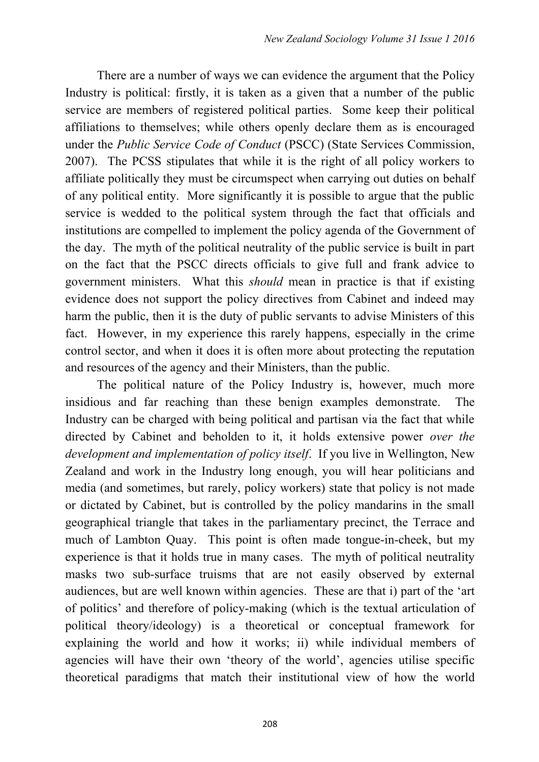There are a number of ways we can evidence the argument that the Policy Industry is political: firstly, it is taken as a given that a number of the public service are members of registered political parties. Some keep their political affiliations to themselves; while others openly declare them as is encouraged under the *Public Service Code of Conduct* (PSCC) (State Services Commission, 2007). The PCSS stipulates that while it is the right of all policy workers to affiliate politically they must be circumspect when carrying out duties on behalf of any political entity. More significantly it is possible to argue that the public service is wedded to the political system through the fact that officials and institutions are compelled to implement the policy agenda of the Government of the day. The myth of the political neutrality of the public service is built in part on the fact that the PSCC directs officials to give full and frank advice to government ministers. What this *should* mean in practice is that if existing evidence does not support the policy directives from Cabinet and indeed may harm the public, then it is the duty of public servants to advise Ministers of this fact. However, in my experience this rarely happens, especially in the crime control sector, and when it does it is often more about protecting the reputation and resources of the agency and their Ministers, than the public.

 The political nature of the Policy Industry is, however, much more insidious and far reaching than these benign examples demonstrate. The Industry can be charged with being political and partisan via the fact that while directed by Cabinet and beholden to it, it holds extensive power *over the development and implementation of policy itself*. If you live in Wellington, New Zealand and work in the Industry long enough, you will hear politicians and media (and sometimes, but rarely, policy workers) state that policy is not made or dictated by Cabinet, but is controlled by the policy mandarins in the small geographical triangle that takes in the parliamentary precinct, the Terrace and much of Lambton Quay. This point is often made tongue-in-cheek, but my experience is that it holds true in many cases. The myth of political neutrality masks two sub-surface truisms that are not easily observed by external audiences, but are well known within agencies. These are that i) part of the 'art of politics' and therefore of policy-making (which is the textual articulation of political theory/ideology) is a theoretical or conceptual framework for explaining the world and how it works; ii) while individual members of agencies will have their own 'theory of the world', agencies utilise specific theoretical paradigms that match their institutional view of how the world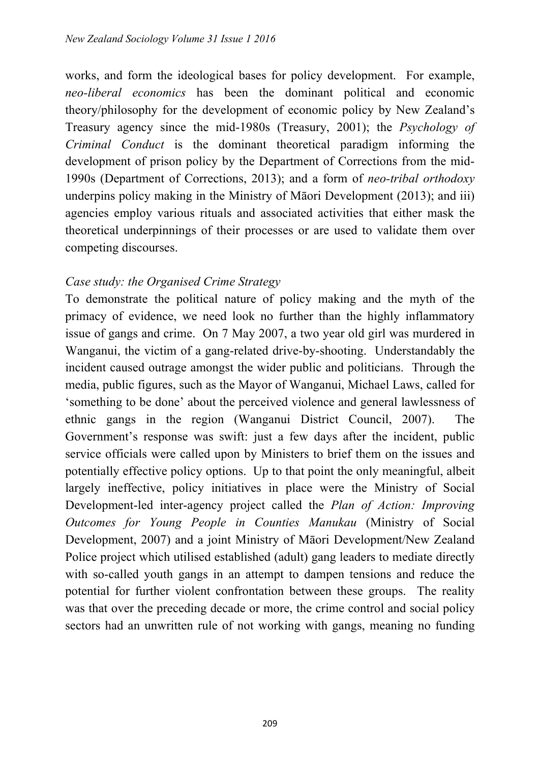works, and form the ideological bases for policy development. For example, *neo-liberal economics* has been the dominant political and economic theory/philosophy for the development of economic policy by New Zealand's Treasury agency since the mid-1980s (Treasury, 2001); the *Psychology of Criminal Conduct* is the dominant theoretical paradigm informing the development of prison policy by the Department of Corrections from the mid-1990s (Department of Corrections, 2013); and a form of *neo-tribal orthodoxy* underpins policy making in the Ministry of Māori Development (2013); and iii) agencies employ various rituals and associated activities that either mask the theoretical underpinnings of their processes or are used to validate them over competing discourses.

### *Case study: the Organised Crime Strategy*

To demonstrate the political nature of policy making and the myth of the primacy of evidence, we need look no further than the highly inflammatory issue of gangs and crime. On 7 May 2007, a two year old girl was murdered in Wanganui, the victim of a gang-related drive-by-shooting. Understandably the incident caused outrage amongst the wider public and politicians. Through the media, public figures, such as the Mayor of Wanganui, Michael Laws, called for 'something to be done' about the perceived violence and general lawlessness of ethnic gangs in the region (Wanganui District Council, 2007). The Government's response was swift: just a few days after the incident, public service officials were called upon by Ministers to brief them on the issues and potentially effective policy options. Up to that point the only meaningful, albeit largely ineffective, policy initiatives in place were the Ministry of Social Development-led inter-agency project called the *Plan of Action: Improving Outcomes for Young People in Counties Manukau* (Ministry of Social Development, 2007) and a joint Ministry of Māori Development/New Zealand Police project which utilised established (adult) gang leaders to mediate directly with so-called youth gangs in an attempt to dampen tensions and reduce the potential for further violent confrontation between these groups. The reality was that over the preceding decade or more, the crime control and social policy sectors had an unwritten rule of not working with gangs, meaning no funding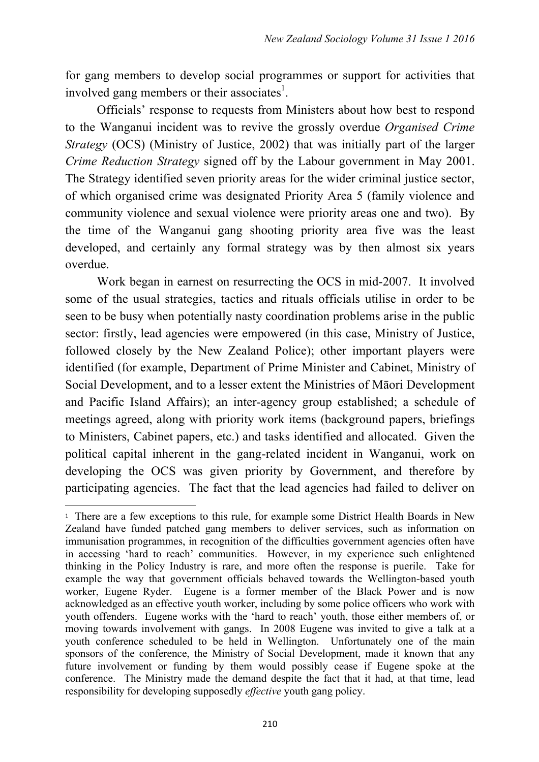for gang members to develop social programmes or support for activities that involved gang members or their associates<sup>1</sup>.

 Officials' response to requests from Ministers about how best to respond to the Wanganui incident was to revive the grossly overdue *Organised Crime Strategy* (OCS) (Ministry of Justice, 2002) that was initially part of the larger *Crime Reduction Strategy* signed off by the Labour government in May 2001. The Strategy identified seven priority areas for the wider criminal justice sector, of which organised crime was designated Priority Area 5 (family violence and community violence and sexual violence were priority areas one and two). By the time of the Wanganui gang shooting priority area five was the least developed, and certainly any formal strategy was by then almost six years overdue.

 Work began in earnest on resurrecting the OCS in mid-2007. It involved some of the usual strategies, tactics and rituals officials utilise in order to be seen to be busy when potentially nasty coordination problems arise in the public sector: firstly, lead agencies were empowered (in this case, Ministry of Justice, followed closely by the New Zealand Police); other important players were identified (for example, Department of Prime Minister and Cabinet, Ministry of Social Development, and to a lesser extent the Ministries of Māori Development and Pacific Island Affairs); an inter-agency group established; a schedule of meetings agreed, along with priority work items (background papers, briefings to Ministers, Cabinet papers, etc.) and tasks identified and allocated. Given the political capital inherent in the gang-related incident in Wanganui, work on developing the OCS was given priority by Government, and therefore by participating agencies. The fact that the lead agencies had failed to deliver on

<u> 1989 - Jan Samuel Barbara, político establecido de la provincia de la provincia de la provincia de la provinci</u>

<sup>1</sup> There are a few exceptions to this rule, for example some District Health Boards in New Zealand have funded patched gang members to deliver services, such as information on immunisation programmes, in recognition of the difficulties government agencies often have in accessing 'hard to reach' communities. However, in my experience such enlightened thinking in the Policy Industry is rare, and more often the response is puerile. Take for example the way that government officials behaved towards the Wellington-based youth worker, Eugene Ryder. Eugene is a former member of the Black Power and is now acknowledged as an effective youth worker, including by some police officers who work with youth offenders. Eugene works with the 'hard to reach' youth, those either members of, or moving towards involvement with gangs. In 2008 Eugene was invited to give a talk at a youth conference scheduled to be held in Wellington. Unfortunately one of the main sponsors of the conference, the Ministry of Social Development, made it known that any future involvement or funding by them would possibly cease if Eugene spoke at the conference. The Ministry made the demand despite the fact that it had, at that time, lead responsibility for developing supposedly *effective* youth gang policy.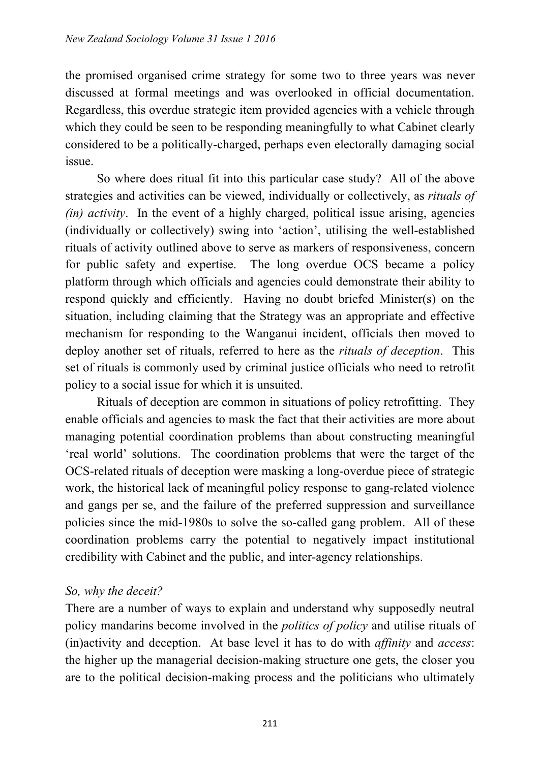the promised organised crime strategy for some two to three years was never discussed at formal meetings and was overlooked in official documentation. Regardless, this overdue strategic item provided agencies with a vehicle through which they could be seen to be responding meaningfully to what Cabinet clearly considered to be a politically-charged, perhaps even electorally damaging social issue.

 So where does ritual fit into this particular case study? All of the above strategies and activities can be viewed, individually or collectively, as *rituals of (in) activity*. In the event of a highly charged, political issue arising, agencies (individually or collectively) swing into 'action', utilising the well-established rituals of activity outlined above to serve as markers of responsiveness, concern for public safety and expertise. The long overdue OCS became a policy platform through which officials and agencies could demonstrate their ability to respond quickly and efficiently. Having no doubt briefed Minister(s) on the situation, including claiming that the Strategy was an appropriate and effective mechanism for responding to the Wanganui incident, officials then moved to deploy another set of rituals, referred to here as the *rituals of deception*. This set of rituals is commonly used by criminal justice officials who need to retrofit policy to a social issue for which it is unsuited.

 Rituals of deception are common in situations of policy retrofitting. They enable officials and agencies to mask the fact that their activities are more about managing potential coordination problems than about constructing meaningful 'real world' solutions. The coordination problems that were the target of the OCS-related rituals of deception were masking a long-overdue piece of strategic work, the historical lack of meaningful policy response to gang-related violence and gangs per se, and the failure of the preferred suppression and surveillance policies since the mid-1980s to solve the so-called gang problem. All of these coordination problems carry the potential to negatively impact institutional credibility with Cabinet and the public, and inter-agency relationships.

### *So, why the deceit?*

There are a number of ways to explain and understand why supposedly neutral policy mandarins become involved in the *politics of policy* and utilise rituals of (in)activity and deception. At base level it has to do with *affinity* and *access*: the higher up the managerial decision-making structure one gets, the closer you are to the political decision-making process and the politicians who ultimately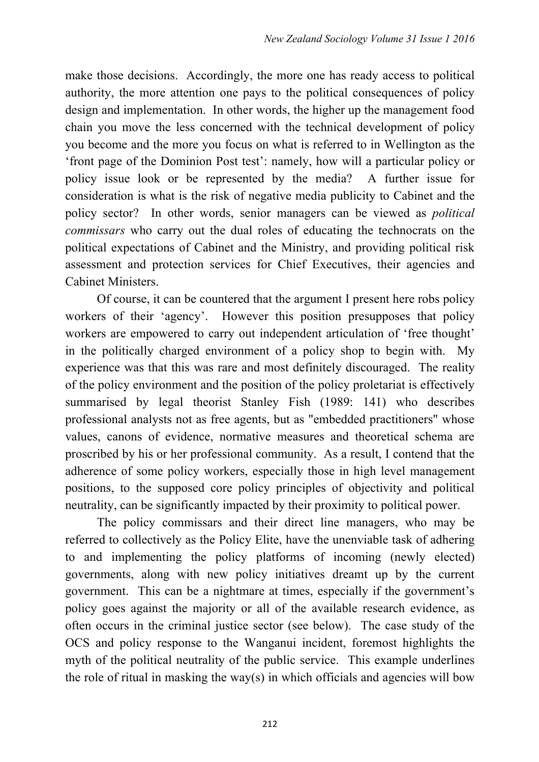make those decisions. Accordingly, the more one has ready access to political authority, the more attention one pays to the political consequences of policy design and implementation. In other words, the higher up the management food chain you move the less concerned with the technical development of policy you become and the more you focus on what is referred to in Wellington as the 'front page of the Dominion Post test': namely, how will a particular policy or policy issue look or be represented by the media? A further issue for consideration is what is the risk of negative media publicity to Cabinet and the policy sector? In other words, senior managers can be viewed as *political commissars* who carry out the dual roles of educating the technocrats on the political expectations of Cabinet and the Ministry, and providing political risk assessment and protection services for Chief Executives, their agencies and Cabinet Ministers.

 Of course, it can be countered that the argument I present here robs policy workers of their 'agency'. However this position presupposes that policy workers are empowered to carry out independent articulation of 'free thought' in the politically charged environment of a policy shop to begin with. My experience was that this was rare and most definitely discouraged. The reality of the policy environment and the position of the policy proletariat is effectively summarised by legal theorist Stanley Fish (1989: 141) who describes professional analysts not as free agents, but as "embedded practitioners" whose values, canons of evidence, normative measures and theoretical schema are proscribed by his or her professional community. As a result, I contend that the adherence of some policy workers, especially those in high level management positions, to the supposed core policy principles of objectivity and political neutrality, can be significantly impacted by their proximity to political power.

 The policy commissars and their direct line managers, who may be referred to collectively as the Policy Elite, have the unenviable task of adhering to and implementing the policy platforms of incoming (newly elected) governments, along with new policy initiatives dreamt up by the current government. This can be a nightmare at times, especially if the government's policy goes against the majority or all of the available research evidence, as often occurs in the criminal justice sector (see below). The case study of the OCS and policy response to the Wanganui incident, foremost highlights the myth of the political neutrality of the public service. This example underlines the role of ritual in masking the way(s) in which officials and agencies will bow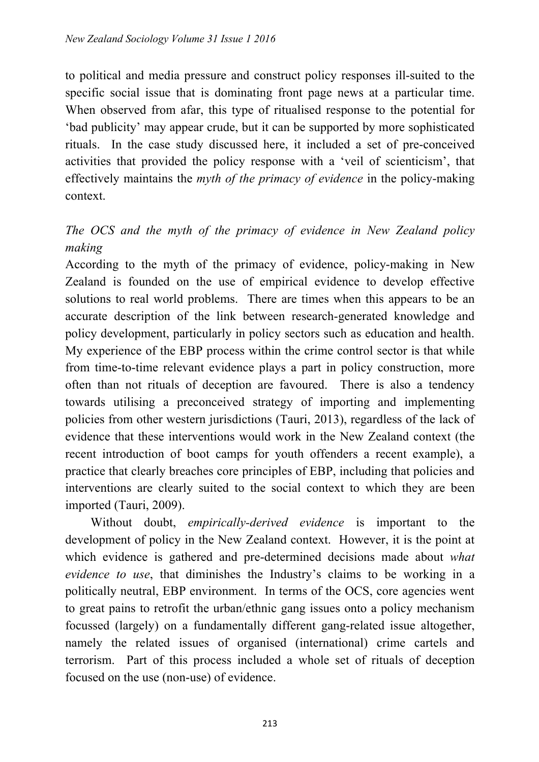to political and media pressure and construct policy responses ill-suited to the specific social issue that is dominating front page news at a particular time. When observed from afar, this type of ritualised response to the potential for 'bad publicity' may appear crude, but it can be supported by more sophisticated rituals. In the case study discussed here, it included a set of pre-conceived activities that provided the policy response with a 'veil of scienticism', that effectively maintains the *myth of the primacy of evidence* in the policy-making context.

# *The OCS and the myth of the primacy of evidence in New Zealand policy making*

According to the myth of the primacy of evidence, policy-making in New Zealand is founded on the use of empirical evidence to develop effective solutions to real world problems. There are times when this appears to be an accurate description of the link between research-generated knowledge and policy development, particularly in policy sectors such as education and health. My experience of the EBP process within the crime control sector is that while from time-to-time relevant evidence plays a part in policy construction, more often than not rituals of deception are favoured. There is also a tendency towards utilising a preconceived strategy of importing and implementing policies from other western jurisdictions (Tauri, 2013), regardless of the lack of evidence that these interventions would work in the New Zealand context (the recent introduction of boot camps for youth offenders a recent example), a practice that clearly breaches core principles of EBP, including that policies and interventions are clearly suited to the social context to which they are been imported (Tauri, 2009).

 Without doubt, *empirically-derived evidence* is important to the development of policy in the New Zealand context. However, it is the point at which evidence is gathered and pre-determined decisions made about *what evidence to use*, that diminishes the Industry's claims to be working in a politically neutral, EBP environment. In terms of the OCS, core agencies went to great pains to retrofit the urban/ethnic gang issues onto a policy mechanism focussed (largely) on a fundamentally different gang-related issue altogether, namely the related issues of organised (international) crime cartels and terrorism. Part of this process included a whole set of rituals of deception focused on the use (non-use) of evidence.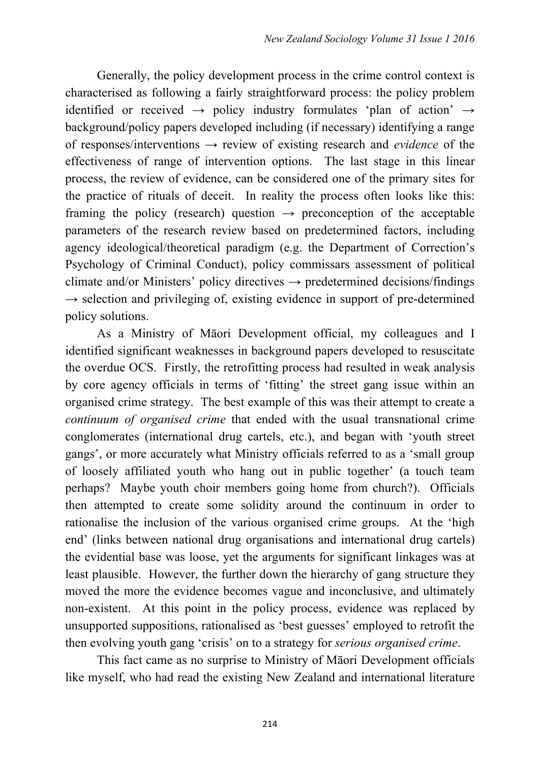Generally, the policy development process in the crime control context is characterised as following a fairly straightforward process: the policy problem identified or received  $\rightarrow$  policy industry formulates 'plan of action'  $\rightarrow$ background/policy papers developed including (if necessary) identifying a range of responses/interventions → review of existing research and *evidence* of the effectiveness of range of intervention options. The last stage in this linear process, the review of evidence, can be considered one of the primary sites for the practice of rituals of deceit. In reality the process often looks like this: framing the policy (research) question  $\rightarrow$  preconception of the acceptable parameters of the research review based on predetermined factors, including agency ideological/theoretical paradigm (e.g. the Department of Correction's Psychology of Criminal Conduct), policy commissars assessment of political climate and/or Ministers' policy directives  $\rightarrow$  predetermined decisions/findings  $\rightarrow$  selection and privileging of, existing evidence in support of pre-determined policy solutions.

 As a Ministry of Māori Development official, my colleagues and I identified significant weaknesses in background papers developed to resuscitate the overdue OCS. Firstly, the retrofitting process had resulted in weak analysis by core agency officials in terms of 'fitting' the street gang issue within an organised crime strategy. The best example of this was their attempt to create a *continuum of organised crime* that ended with the usual transnational crime conglomerates (international drug cartels, etc.), and began with 'youth street gangs', or more accurately what Ministry officials referred to as a 'small group of loosely affiliated youth who hang out in public together' (a touch team perhaps? Maybe youth choir members going home from church?). Officials then attempted to create some solidity around the continuum in order to rationalise the inclusion of the various organised crime groups. At the 'high end' (links between national drug organisations and international drug cartels) the evidential base was loose, yet the arguments for significant linkages was at least plausible. However, the further down the hierarchy of gang structure they moved the more the evidence becomes vague and inconclusive, and ultimately non-existent. At this point in the policy process, evidence was replaced by unsupported suppositions, rationalised as 'best guesses' employed to retrofit the then evolving youth gang 'crisis' on to a strategy for *serious organised crime*.

 This fact came as no surprise to Ministry of Māori Development officials like myself, who had read the existing New Zealand and international literature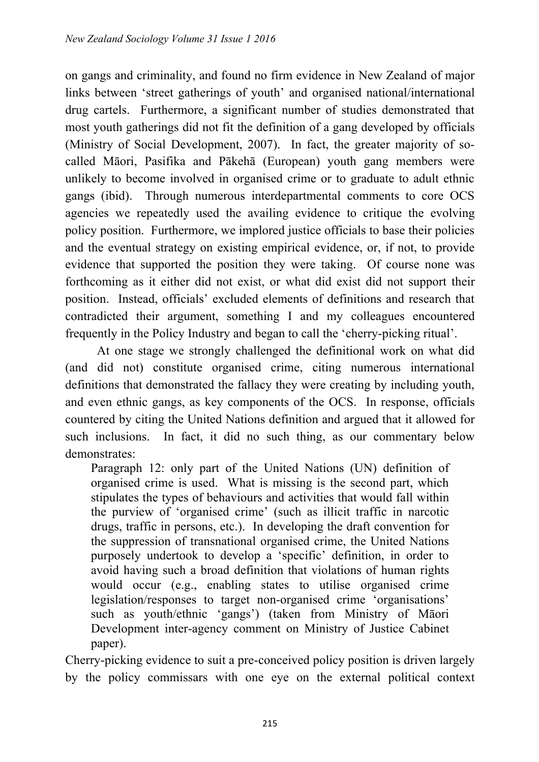on gangs and criminality, and found no firm evidence in New Zealand of major links between 'street gatherings of youth' and organised national/international drug cartels. Furthermore, a significant number of studies demonstrated that most youth gatherings did not fit the definition of a gang developed by officials (Ministry of Social Development, 2007). In fact, the greater majority of socalled Māori, Pasifika and Pākehā (European) youth gang members were unlikely to become involved in organised crime or to graduate to adult ethnic gangs (ibid). Through numerous interdepartmental comments to core OCS agencies we repeatedly used the availing evidence to critique the evolving policy position. Furthermore, we implored justice officials to base their policies and the eventual strategy on existing empirical evidence, or, if not, to provide evidence that supported the position they were taking. Of course none was forthcoming as it either did not exist, or what did exist did not support their position. Instead, officials' excluded elements of definitions and research that contradicted their argument, something I and my colleagues encountered frequently in the Policy Industry and began to call the 'cherry-picking ritual'.

 At one stage we strongly challenged the definitional work on what did (and did not) constitute organised crime, citing numerous international definitions that demonstrated the fallacy they were creating by including youth, and even ethnic gangs, as key components of the OCS. In response, officials countered by citing the United Nations definition and argued that it allowed for such inclusions. In fact, it did no such thing, as our commentary below demonstrates:

Paragraph 12: only part of the United Nations (UN) definition of organised crime is used. What is missing is the second part, which stipulates the types of behaviours and activities that would fall within the purview of 'organised crime' (such as illicit traffic in narcotic drugs, traffic in persons, etc.). In developing the draft convention for the suppression of transnational organised crime, the United Nations purposely undertook to develop a 'specific' definition, in order to avoid having such a broad definition that violations of human rights would occur (e.g., enabling states to utilise organised crime legislation/responses to target non-organised crime 'organisations' such as youth/ethnic 'gangs') (taken from Ministry of Māori Development inter-agency comment on Ministry of Justice Cabinet paper).

Cherry-picking evidence to suit a pre-conceived policy position is driven largely by the policy commissars with one eye on the external political context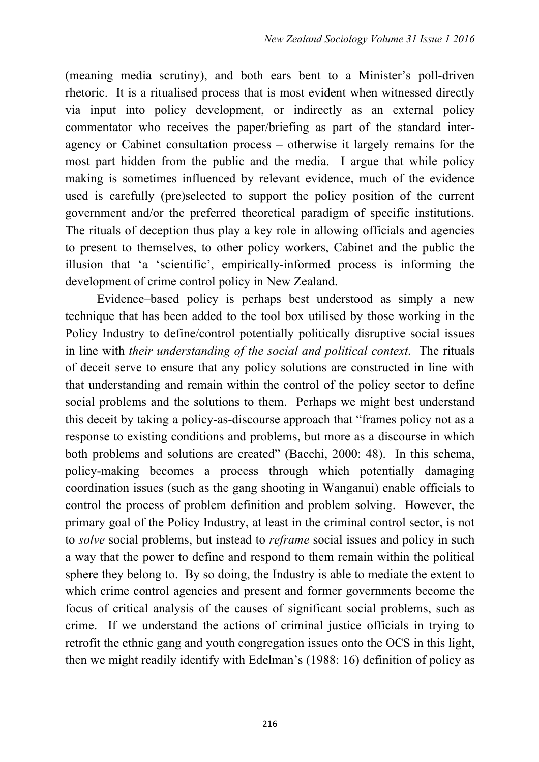(meaning media scrutiny), and both ears bent to a Minister's poll-driven rhetoric. It is a ritualised process that is most evident when witnessed directly via input into policy development, or indirectly as an external policy commentator who receives the paper/briefing as part of the standard interagency or Cabinet consultation process – otherwise it largely remains for the most part hidden from the public and the media. I argue that while policy making is sometimes influenced by relevant evidence, much of the evidence used is carefully (pre)selected to support the policy position of the current government and/or the preferred theoretical paradigm of specific institutions. The rituals of deception thus play a key role in allowing officials and agencies to present to themselves, to other policy workers, Cabinet and the public the illusion that 'a 'scientific', empirically-informed process is informing the development of crime control policy in New Zealand.

 Evidence–based policy is perhaps best understood as simply a new technique that has been added to the tool box utilised by those working in the Policy Industry to define/control potentially politically disruptive social issues in line with *their understanding of the social and political context*. The rituals of deceit serve to ensure that any policy solutions are constructed in line with that understanding and remain within the control of the policy sector to define social problems and the solutions to them. Perhaps we might best understand this deceit by taking a policy-as-discourse approach that "frames policy not as a response to existing conditions and problems, but more as a discourse in which both problems and solutions are created" (Bacchi, 2000: 48). In this schema, policy-making becomes a process through which potentially damaging coordination issues (such as the gang shooting in Wanganui) enable officials to control the process of problem definition and problem solving. However, the primary goal of the Policy Industry, at least in the criminal control sector, is not to *solve* social problems, but instead to *reframe* social issues and policy in such a way that the power to define and respond to them remain within the political sphere they belong to. By so doing, the Industry is able to mediate the extent to which crime control agencies and present and former governments become the focus of critical analysis of the causes of significant social problems, such as crime. If we understand the actions of criminal justice officials in trying to retrofit the ethnic gang and youth congregation issues onto the OCS in this light, then we might readily identify with Edelman's (1988: 16) definition of policy as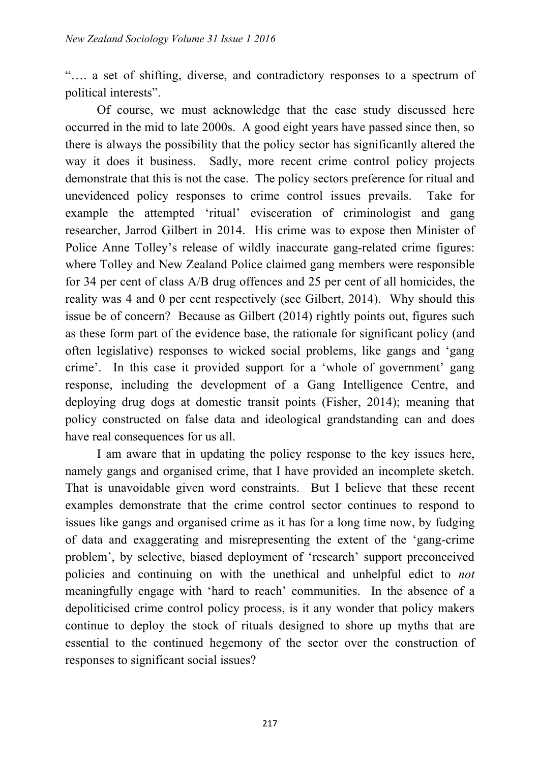"…. a set of shifting, diverse, and contradictory responses to a spectrum of political interests".

 Of course, we must acknowledge that the case study discussed here occurred in the mid to late 2000s. A good eight years have passed since then, so there is always the possibility that the policy sector has significantly altered the way it does it business. Sadly, more recent crime control policy projects demonstrate that this is not the case. The policy sectors preference for ritual and unevidenced policy responses to crime control issues prevails. Take for example the attempted 'ritual' evisceration of criminologist and gang researcher, Jarrod Gilbert in 2014. His crime was to expose then Minister of Police Anne Tolley's release of wildly inaccurate gang-related crime figures: where Tolley and New Zealand Police claimed gang members were responsible for 34 per cent of class A/B drug offences and 25 per cent of all homicides, the reality was 4 and 0 per cent respectively (see Gilbert, 2014). Why should this issue be of concern? Because as Gilbert (2014) rightly points out, figures such as these form part of the evidence base, the rationale for significant policy (and often legislative) responses to wicked social problems, like gangs and 'gang crime'. In this case it provided support for a 'whole of government' gang response, including the development of a Gang Intelligence Centre, and deploying drug dogs at domestic transit points (Fisher, 2014); meaning that policy constructed on false data and ideological grandstanding can and does have real consequences for us all.

 I am aware that in updating the policy response to the key issues here, namely gangs and organised crime, that I have provided an incomplete sketch. That is unavoidable given word constraints. But I believe that these recent examples demonstrate that the crime control sector continues to respond to issues like gangs and organised crime as it has for a long time now, by fudging of data and exaggerating and misrepresenting the extent of the 'gang-crime problem', by selective, biased deployment of 'research' support preconceived policies and continuing on with the unethical and unhelpful edict to *not* meaningfully engage with 'hard to reach' communities. In the absence of a depoliticised crime control policy process, is it any wonder that policy makers continue to deploy the stock of rituals designed to shore up myths that are essential to the continued hegemony of the sector over the construction of responses to significant social issues?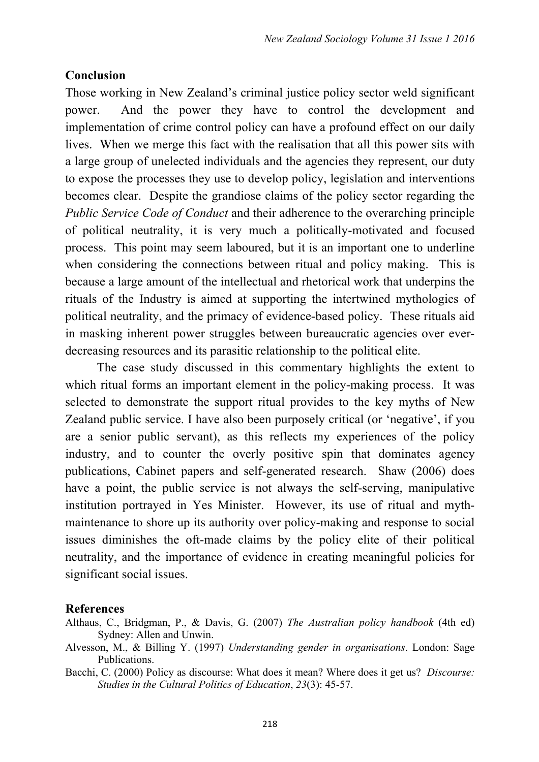### **Conclusion**

Those working in New Zealand's criminal justice policy sector weld significant power. And the power they have to control the development and implementation of crime control policy can have a profound effect on our daily lives. When we merge this fact with the realisation that all this power sits with a large group of unelected individuals and the agencies they represent, our duty to expose the processes they use to develop policy, legislation and interventions becomes clear. Despite the grandiose claims of the policy sector regarding the *Public Service Code of Conduct* and their adherence to the overarching principle of political neutrality, it is very much a politically-motivated and focused process. This point may seem laboured, but it is an important one to underline when considering the connections between ritual and policy making. This is because a large amount of the intellectual and rhetorical work that underpins the rituals of the Industry is aimed at supporting the intertwined mythologies of political neutrality, and the primacy of evidence-based policy. These rituals aid in masking inherent power struggles between bureaucratic agencies over everdecreasing resources and its parasitic relationship to the political elite.

 The case study discussed in this commentary highlights the extent to which ritual forms an important element in the policy-making process. It was selected to demonstrate the support ritual provides to the key myths of New Zealand public service. I have also been purposely critical (or 'negative', if you are a senior public servant), as this reflects my experiences of the policy industry, and to counter the overly positive spin that dominates agency publications, Cabinet papers and self-generated research. Shaw (2006) does have a point, the public service is not always the self-serving, manipulative institution portrayed in Yes Minister. However, its use of ritual and mythmaintenance to shore up its authority over policy-making and response to social issues diminishes the oft-made claims by the policy elite of their political neutrality, and the importance of evidence in creating meaningful policies for significant social issues.

#### **References**

- Althaus, C., Bridgman, P., & Davis, G. (2007) *The Australian policy handbook* (4th ed) Sydney: Allen and Unwin.
- Alvesson, M., & Billing Y. (1997) *Understanding gender in organisations*. London: Sage Publications.
- Bacchi, C. (2000) Policy as discourse: What does it mean? Where does it get us? *Discourse: Studies in the Cultural Politics of Education*, *23*(3): 45-57.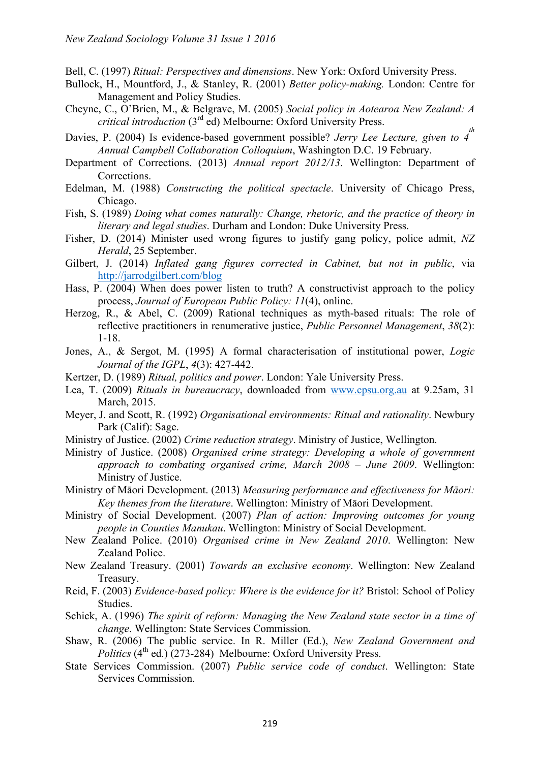Bell, C. (1997) *Ritual: Perspectives and dimensions*. New York: Oxford University Press.

- Bullock, H., Mountford, J., & Stanley, R. (2001) *Better policy-making.* London: Centre for Management and Policy Studies.
- Cheyne, C., O'Brien, M., & Belgrave, M. (2005) *Social policy in Aotearoa New Zealand: A critical introduction* (3rd ed) Melbourne: Oxford University Press.
- Davies, P. (2004) Is evidence-based government possible? *Jerry Lee Lecture, given to 4*<sup>th</sup> *Annual Campbell Collaboration Colloquium*, Washington D.C. 19 February.
- Department of Corrections. (2013) *Annual report 2012/13*. Wellington: Department of Corrections.
- Edelman, M. (1988) *Constructing the political spectacle*. University of Chicago Press, Chicago.
- Fish, S. (1989) *Doing what comes naturally: Change, rhetoric, and the practice of theory in literary and legal studies*. Durham and London: Duke University Press.
- Fisher, D. (2014) Minister used wrong figures to justify gang policy, police admit, *NZ Herald*, 25 September.
- Gilbert, J. (2014) *Inflated gang figures corrected in Cabinet, but not in public*, via http://jarrodgilbert.com/blog
- Hass, P. (2004) When does power listen to truth? A constructivist approach to the policy process, *Journal of European Public Policy: 11*(4), online.
- Herzog, R., & Abel, C. (2009) Rational techniques as myth-based rituals: The role of reflective practitioners in renumerative justice, *Public Personnel Management*, *38*(2): 1-18.
- Jones, A., & Sergot, M. (1995) A formal characterisation of institutional power, *Logic Journal of the IGPL*, *4*(3): 427-442.
- Kertzer, D. (1989) *Ritual, politics and power*. London: Yale University Press.
- Lea, T. (2009) *Rituals in bureaucracy*, downloaded from www.cpsu.org.au at 9.25am, 31 March, 2015.
- Meyer, J. and Scott, R. (1992) *Organisational environments: Ritual and rationality*. Newbury Park (Calif): Sage.
- Ministry of Justice. (2002) *Crime reduction strategy*. Ministry of Justice, Wellington.
- Ministry of Justice. (2008) *Organised crime strategy: Developing a whole of government approach to combating organised crime, March 2008 – June 2009*. Wellington: Ministry of Justice.
- Ministry of Māori Development. (2013) *Measuring performance and effectiveness for Māori: Key themes from the literature*. Wellington: Ministry of Māori Development.
- Ministry of Social Development. (2007) *Plan of action: Improving outcomes for young people in Counties Manukau*. Wellington: Ministry of Social Development.
- New Zealand Police. (2010) *Organised crime in New Zealand 2010*. Wellington: New Zealand Police.
- New Zealand Treasury. (2001) *Towards an exclusive economy*. Wellington: New Zealand Treasury.
- Reid, F. (2003) *Evidence-based policy: Where is the evidence for it?* Bristol: School of Policy Studies.
- Schick, A. (1996) *The spirit of reform: Managing the New Zealand state sector in a time of change*. Wellington: State Services Commission.
- Shaw, R. (2006) The public service. In R. Miller (Ed.), *New Zealand Government and Politics* (4<sup>th</sup> ed.) (273-284) Melbourne: Oxford University Press.
- State Services Commission. (2007) *Public service code of conduct*. Wellington: State Services Commission.